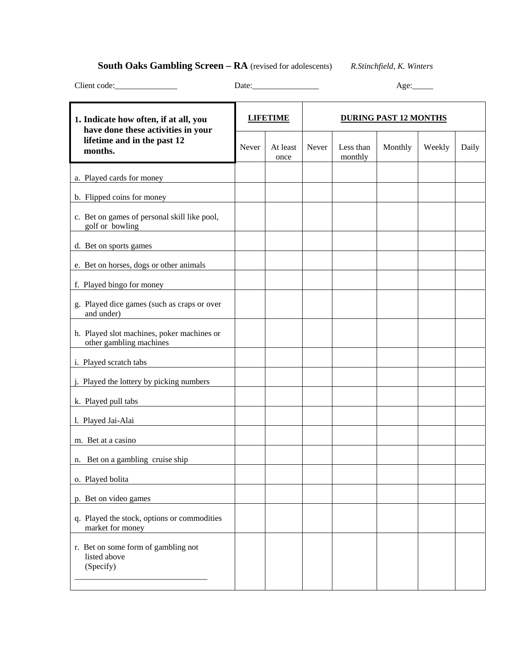# **South Oaks Gambling Screen – RA** (revised for adolescents) *R.Stinchfield, K. Winters*

| Client code:                                                                 |                 |                  |                              |                      |         |        |       |
|------------------------------------------------------------------------------|-----------------|------------------|------------------------------|----------------------|---------|--------|-------|
| 1. Indicate how often, if at all, you                                        | <b>LIFETIME</b> |                  | <b>DURING PAST 12 MONTHS</b> |                      |         |        |       |
| have done these activities in your<br>lifetime and in the past 12<br>months. | Never           | At least<br>once | Never                        | Less than<br>monthly | Monthly | Weekly | Daily |
| a. Played cards for money                                                    |                 |                  |                              |                      |         |        |       |
| b. Flipped coins for money                                                   |                 |                  |                              |                      |         |        |       |
| c. Bet on games of personal skill like pool,<br>golf or bowling              |                 |                  |                              |                      |         |        |       |
| d. Bet on sports games                                                       |                 |                  |                              |                      |         |        |       |
| e. Bet on horses, dogs or other animals                                      |                 |                  |                              |                      |         |        |       |
| f. Played bingo for money                                                    |                 |                  |                              |                      |         |        |       |
| g. Played dice games (such as craps or over<br>and under)                    |                 |                  |                              |                      |         |        |       |
| h. Played slot machines, poker machines or<br>other gambling machines        |                 |                  |                              |                      |         |        |       |
| i. Played scratch tabs                                                       |                 |                  |                              |                      |         |        |       |
| j. Played the lottery by picking numbers                                     |                 |                  |                              |                      |         |        |       |
| k. Played pull tabs                                                          |                 |                  |                              |                      |         |        |       |
| l. Played Jai-Alai                                                           |                 |                  |                              |                      |         |        |       |
| m. Bet at a casino                                                           |                 |                  |                              |                      |         |        |       |
| Bet on a gambling cruise ship<br>n.                                          |                 |                  |                              |                      |         |        |       |
| o. Played bolita                                                             |                 |                  |                              |                      |         |        |       |
| p. Bet on video games                                                        |                 |                  |                              |                      |         |        |       |
| q. Played the stock, options or commodities<br>market for money              |                 |                  |                              |                      |         |        |       |
| r. Bet on some form of gambling not<br>listed above<br>(Specify)             |                 |                  |                              |                      |         |        |       |
|                                                                              |                 |                  |                              |                      |         |        |       |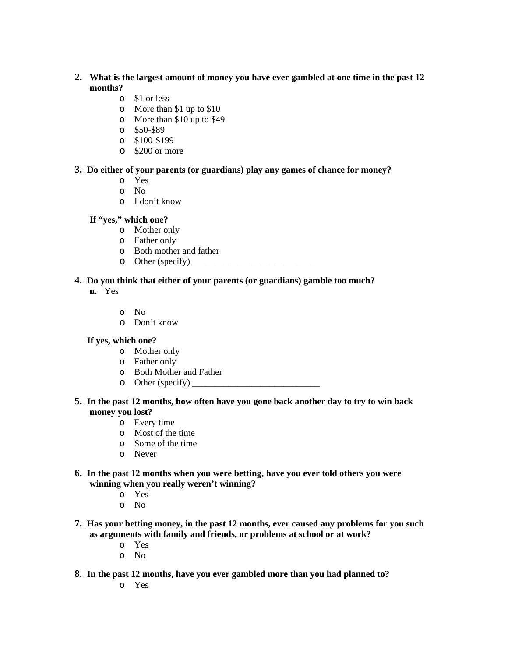- **2. What is the largest amount of money you have ever gambled at one time in the past 12 months?** 
	- o \$1 or less
	- o More than \$1 up to \$10
	- o More than \$10 up to \$49
	- o \$50-\$89
	- o \$100-\$199
	- o \$200 or more

#### **3. Do either of your parents (or guardians) play any games of chance for money?**

- o Yes
- o No
- o I don't know

### **If "yes," which one?**

- o Mother only
- o Father only
- o Both mother and father
- $\circ$  Other (specify)

### **4. Do you think that either of your parents (or guardians) gamble too much?**

- **n.** Yes
	- o No
	- o Don't know

#### **If yes, which one?**

- o Mother only
- o Father only
- o Both Mother and Father
- o Other (specify) \_\_\_\_\_\_\_\_\_\_\_\_\_\_\_\_\_\_\_\_\_\_\_\_\_\_\_\_

### **5. In the past 12 months, how often have you gone back another day to try to win back money you lost?**

- o Every time
- o Most of the time
- o Some of the time
- o Never
- **6. In the past 12 months when you were betting, have you ever told others you were winning when you really weren't winning?** 
	- o Yes
	- o No
- **7. Has your betting money, in the past 12 months, ever caused any problems for you such as arguments with family and friends, or problems at school or at work?** 
	- o Yes
	- o No
- **8. In the past 12 months, have you ever gambled more than you had planned to?**

o Yes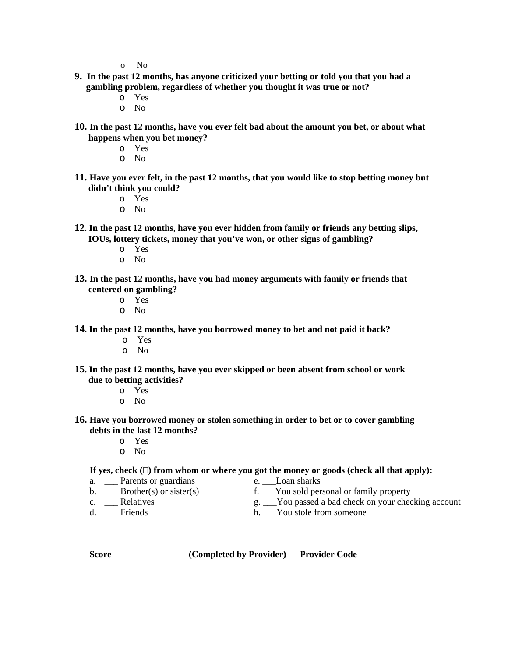o No

- **9. In the past 12 months, has anyone criticized your betting or told you that you had a gambling problem, regardless of whether you thought it was true or not?** 
	- o Yes
	- o No
- **10. In the past 12 months, have you ever felt bad about the amount you bet, or about what happens when you bet money?** 
	- o Yes
	- o No
- **11. Have you ever felt, in the past 12 months, that you would like to stop betting money but didn't think you could?** 
	- o Yes
	- o No
- **12. In the past 12 months, have you ever hidden from family or friends any betting slips, IOUs, lottery tickets, money that you've won, or other signs of gambling?** 
	- o Yes
	- o No
- **13. In the past 12 months, have you had money arguments with family or friends that centered on gambling?** 
	- o Yes
	- o No
- **14. In the past 12 months, have you borrowed money to bet and not paid it back?** 
	- o Yes
	- o No
- **15. In the past 12 months, have you ever skipped or been absent from school or work due to betting activities?** 
	- o Yes
	- o No
- **16. Have you borrowed money or stolen something in order to bet or to cover gambling debts in the last 12 months?** 
	- o Yes
	- o No

#### If yes, check  $(\Box)$  from whom or where you got the money or goods (check all that apply):

- a. \_\_\_ Parents or guardians e. \_\_\_Loan sharks<br>b. \_\_\_ Brother(s) or sister(s) f. \_\_\_You sold per
- 
- 
- 
- b. \_\_\_ Brother(s) or sister(s) f. \_\_\_You sold personal or family property c. \_\_\_ Relatives  $g.$  \_\_\_You passed a bad check on your check
- c. \_\_\_ Relatives g. \_\_\_You passed a bad check on your checking account d. \_\_\_ Friends h. \_\_\_You stole from someone
	- h.  $\sum$  You stole from someone

| <b>Score</b> | (Completed by Provider) | <b>Provider Code</b> |
|--------------|-------------------------|----------------------|
|--------------|-------------------------|----------------------|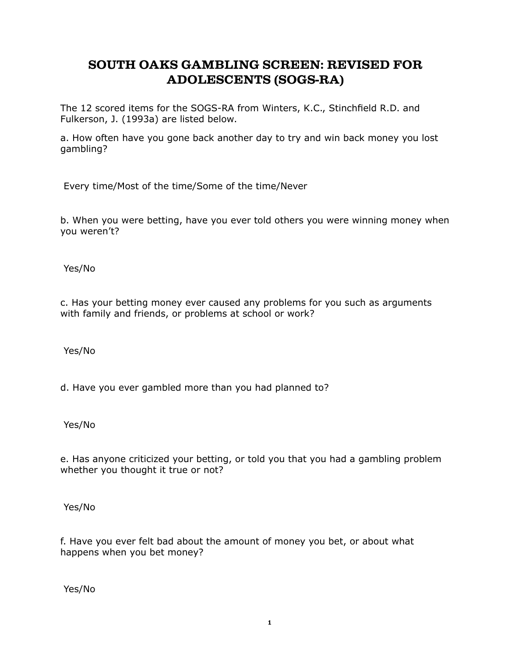# **SOUTH OAKS GAMBLING SCREEN: REVISED FOR ADOLESCENTS (SOGS-RA)**

The 12 scored items for the SOGS-RA from Winters, K.C., Stinchfield R.D. and Fulkerson, J. (1993a) are listed below.

a. How often have you gone back another day to try and win back money you lost gambling?

Every time/Most of the time/Some of the time/Never

b. When you were betting, have you ever told others you were winning money when you weren't?

Yes/No

c. Has your betting money ever caused any problems for you such as arguments with family and friends, or problems at school or work?

Yes/No

d. Have you ever gambled more than you had planned to?

Yes/No

e. Has anyone criticized your betting, or told you that you had a gambling problem whether you thought it true or not?

Yes/No

f. Have you ever felt bad about the amount of money you bet, or about what happens when you bet money?

Yes/No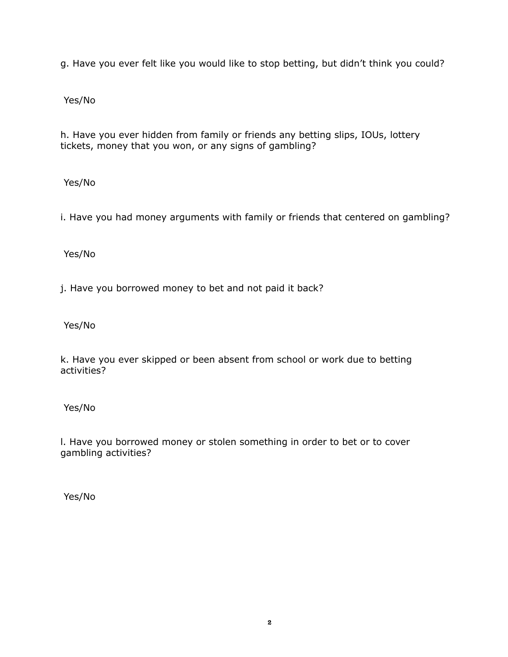g. Have you ever felt like you would like to stop betting, but didn't think you could?

Yes/No

h. Have you ever hidden from family or friends any betting slips, IOUs, lottery tickets, money that you won, or any signs of gambling?

Yes/No

i. Have you had money arguments with family or friends that centered on gambling?

Yes/No

j. Have you borrowed money to bet and not paid it back?

Yes/No

k. Have you ever skipped or been absent from school or work due to betting activities?

Yes/No

l. Have you borrowed money or stolen something in order to bet or to cover gambling activities?

Yes/No